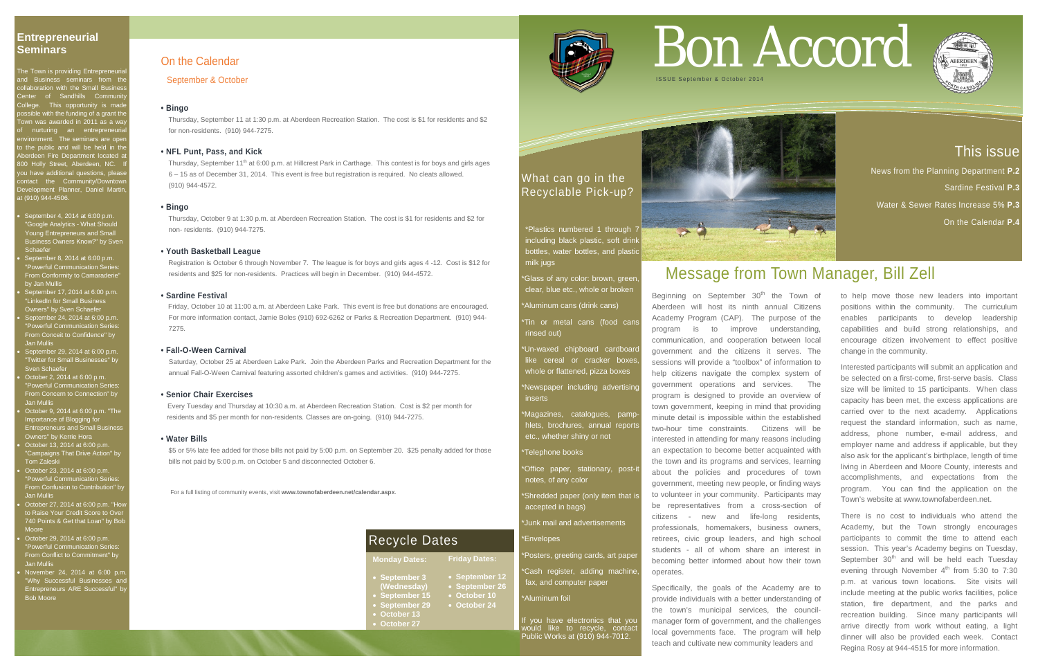### This issue

News from the Planning Department **P.2**  Sardine Festival **P.3** Water & Sewer Rates Increase 5% **P.3** On the Calendar **P.4**

### **Entrepreneurial Seminars**

The Town is providing Entrepreneurial and Business seminars from the **Ilaboration with the Small Busines** Center of Sandhills Communit College. This opportunity is made ssible with the funding of a grant the own was awarded in 2011 as a way of nurturing an entrepreneurial environment. The seminars are open to the public and will be held in the Aberdeen Fire Department located at 800 Holly Street, Aberdeen, NC. If ou have additional questions, pleas contact the Community/Downtov Development Planner, Daniel Martir at (910) 944-4506.

> Glass of any color: brown, green clear, blue etc., whole or broken

> 'Un-waxed chipboard cardboar like cereal or cracker boxes whole or flattened, pizza boxes

Newspaper including advertising inserts

- \*Office paper, stationary, post-it notes, of any color
- \*Shredded paper (only item that is accepted in bags)
- Junk mail and advertisements

### **Envelopes**

- September 4, 2014 at 6:00 p.m. "Google Analytics - What Should Young Entrepreneurs and Small Business Owners Know?" by Sven Schaefe
- September 8, 2014 at 6:00 p.m. "Powerful Communication Series: From Conformity to Camaraderie" by Jan Mullis
- September 17, 2014 at 6:00 p.m. "LinkedIn for Small Business Owners" by Sven Schaefer
- September 24, 2014 at 6:00 p.m. "Powerful Communication Series: From Conceit to Confidence" by Jan Mullis
- September 29, 2014 at 6:00 p.m. "Twitter for Small Businesses" by Sven Schaefer
- October 2, 2014 at 6:00 p.m. "Powerful Communication Series: From Concern to Connection" by Jan Mullis
- October 9, 2014 at 6:00 p.m. "The Importance of Blogging for Entrepreneurs and Small Business Owners" by Kerrie Hora
- October 13, 2014 at 6:00 p.m. "Campaigns That Drive Action" by<br>-Tom Zaleski
- October 23, 2014 at 6:00 p.m. "Powerful Communication Series: From Confusion to Contribution" by Jan Mullis
- October 27, 2014 at 6:00 p.m. "How to Raise Your Credit Score to Over 740 Points & Get that Loan" by Bob Moore
- October 29, 2014 at 6:00 p.m. "Powerful Communication Series: From Conflict to Commitment" by Jan Mullis
- November 24, 2014 at 6:00 p.m. "Why Successful Businesses and Entrepreneurs ARE Successful" by Bob Moore

If you have electronics that you would like to recycle, contact Public Works at (910) 944-7012.

Thursday, September 11<sup>th</sup> at 6:00 p.m. at Hillcrest Park in Carthage. This contest is for boys and girls ages 6 – 15 as of December 31, 2014. This event is free but registration is required. No cleats allowed. (910) 944-4572.

### What can go in the Recyclable Pick-up?



\*Plastics numbered 1 through 7 including black plastic, soft drink bottles, water bottles, and plastic milk jugs

\*Aluminum cans (drink cans)

\*Tin or metal cans (food cans rinsed out)

\*Magazines, catalogues, pamphlets, brochures, annual reports etc., whether shiny or not

### \*Telephone books

- \*Posters, greeting cards, art paper
- Cash register, adding machine fax, and computer paper
- \*Aluminum foil

Beginning on September  $30<sup>th</sup>$  the Town of Aberdeen will host its ninth annual Citizens Academy Program (CAP). The purpose of the program is to improve understanding, communication, and cooperation between local government and the citizens it serves. The sessions will provide a "toolbox" of information to help citizens navigate the complex system of government operations and services. The program is designed to provide an overview of town government, keeping in mind that providing minute detail is impossible within the established two-hour time constraints. Citizens will be interested in attending for many reasons including an expectation to become better acquainted with the town and its programs and services, learning about the policies and procedures of town government, meeting new people, or finding ways to volunteer in your community. Participants may be representatives from a cross-section of citizens - new and life-long residents, professionals, homemakers, business owners, retirees, civic group leaders, and high school students - all of whom share an interest in becoming better informed about how their town operates.

For a full listing of community events, visit **www.townofaberdeen.net/calendar.aspx**.

### On the Calendar

September & October

### **• Bingo**

Thursday, September 11 at 1:30 p.m. at Aberdeen Recreation Station. The cost is \$1 for residents and \$2 for non-residents. (910) 944-7275.

### **• NFL Punt, Pass, and Kick**

### **• Bingo**

Thursday, October 9 at 1:30 p.m. at Aberdeen Recreation Station. The cost is \$1 for residents and \$2 for non- residents. (910) 944-7275.

### **• Youth Basketball League**

 Registration is October 6 through November 7. The league is for boys and girls ages 4 -12. Cost is \$12 for residents and \$25 for non-residents. Practices will begin in December. (910) 944-4572.

### **• Sardine Festival**

Friday, October 10 at 11:00 a.m. at Aberdeen Lake Park. This event is free but donations are encouraged. For more information contact, Jamie Boles (910) 692-6262 or Parks & Recreation Department. (910) 944- 7275.

### **• Fall-O-Ween Carnival**

Saturday, October 25 at Aberdeen Lake Park. Join the Aberdeen Parks and Recreation Department for the annual Fall-O-Ween Carnival featuring assorted children's games and activities. (910) 944-7275.

### **• Senior Chair Exercises**

Every Tuesday and Thursday at 10:30 a.m. at Aberdeen Recreation Station. Cost is \$2 per month for residents and \$5 per month for non-residents. Classes are on-going. (910) 944-7275.

### **• Water Bills**

\$5 or 5% late fee added for those bills not paid by 5:00 p.m. on September 20. \$25 penalty added for those bills not paid by 5:00 p.m. on October 5 and disconnected October 6.

# Bon Accord



## Message from Town Manager, Bill Zell

Specifically, the goals of the Academy are to provide individuals with a better understanding of the town's municipal services, the councilmanager form of government, and the challenges local governments face. The program will help teach and cultivate new community leaders and

to help move those new leaders into important positions within the community. The curriculum enables participants to develop leadership capabilities and build strong relationships, and encourage citizen involvement to effect positive change in the community.

Interested participants will submit an application and be selected on a first-come, first-serve basis. Class size will be limited to 15 participants. When class capacity has been met, the excess applications are carried over to the next academy. Applications request the standard information, such as name, address, phone number, e-mail address, and employer name and address if applicable, but they also ask for the applicant's birthplace, length of time living in Aberdeen and Moore County, interests and accomplishments, and expectations from the program. You can find the application on the Town's website at www.townofaberdeen.net.

There is no cost to individuals who attend the Academy, but the Town strongly encourages participants to commit the time to attend each session. This year's Academy begins on Tuesday, September  $30<sup>th</sup>$  and will be held each Tuesday evening through November  $4^{\text{th}}$  from 5:30 to 7:30 p.m. at various town locations. Site visits will include meeting at the public works facilities, police station, fire department, and the parks and recreation building. Since many participants will arrive directly from work without eating, a light dinner will also be provided each week. Contact Regina Rosy at 944-4515 for more information.



**Monday Dates: Friday Dates:**

- **September 12**
- **September 3 (Wednesday)**
- **September 15**
- **September 29**
- **October 13** • **October 27**



• **September 26** • **October 10** • **October 24**

### Recycle Dates